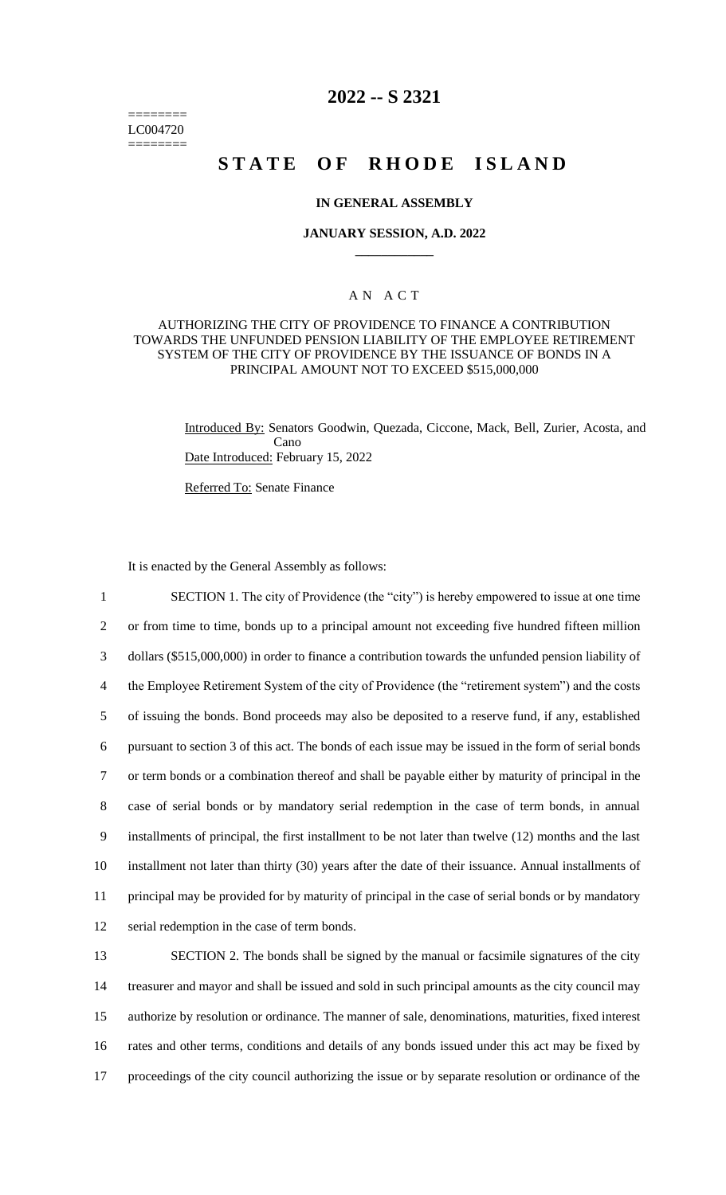======== LC004720 ========

## **2022 -- S 2321**

# **STATE OF RHODE ISLAND**

#### **IN GENERAL ASSEMBLY**

#### **JANUARY SESSION, A.D. 2022 \_\_\_\_\_\_\_\_\_\_\_\_**

## A N A C T

### AUTHORIZING THE CITY OF PROVIDENCE TO FINANCE A CONTRIBUTION TOWARDS THE UNFUNDED PENSION LIABILITY OF THE EMPLOYEE RETIREMENT SYSTEM OF THE CITY OF PROVIDENCE BY THE ISSUANCE OF BONDS IN A PRINCIPAL AMOUNT NOT TO EXCEED \$515,000,000

Introduced By: Senators Goodwin, Quezada, Ciccone, Mack, Bell, Zurier, Acosta, and Cano Date Introduced: February 15, 2022

Referred To: Senate Finance

It is enacted by the General Assembly as follows:

 SECTION 1. The city of Providence (the "city") is hereby empowered to issue at one time or from time to time, bonds up to a principal amount not exceeding five hundred fifteen million dollars (\$515,000,000) in order to finance a contribution towards the unfunded pension liability of the Employee Retirement System of the city of Providence (the "retirement system") and the costs of issuing the bonds. Bond proceeds may also be deposited to a reserve fund, if any, established pursuant to section 3 of this act. The bonds of each issue may be issued in the form of serial bonds or term bonds or a combination thereof and shall be payable either by maturity of principal in the case of serial bonds or by mandatory serial redemption in the case of term bonds, in annual installments of principal, the first installment to be not later than twelve (12) months and the last installment not later than thirty (30) years after the date of their issuance. Annual installments of principal may be provided for by maturity of principal in the case of serial bonds or by mandatory serial redemption in the case of term bonds.

 SECTION 2. The bonds shall be signed by the manual or facsimile signatures of the city treasurer and mayor and shall be issued and sold in such principal amounts as the city council may authorize by resolution or ordinance. The manner of sale, denominations, maturities, fixed interest rates and other terms, conditions and details of any bonds issued under this act may be fixed by proceedings of the city council authorizing the issue or by separate resolution or ordinance of the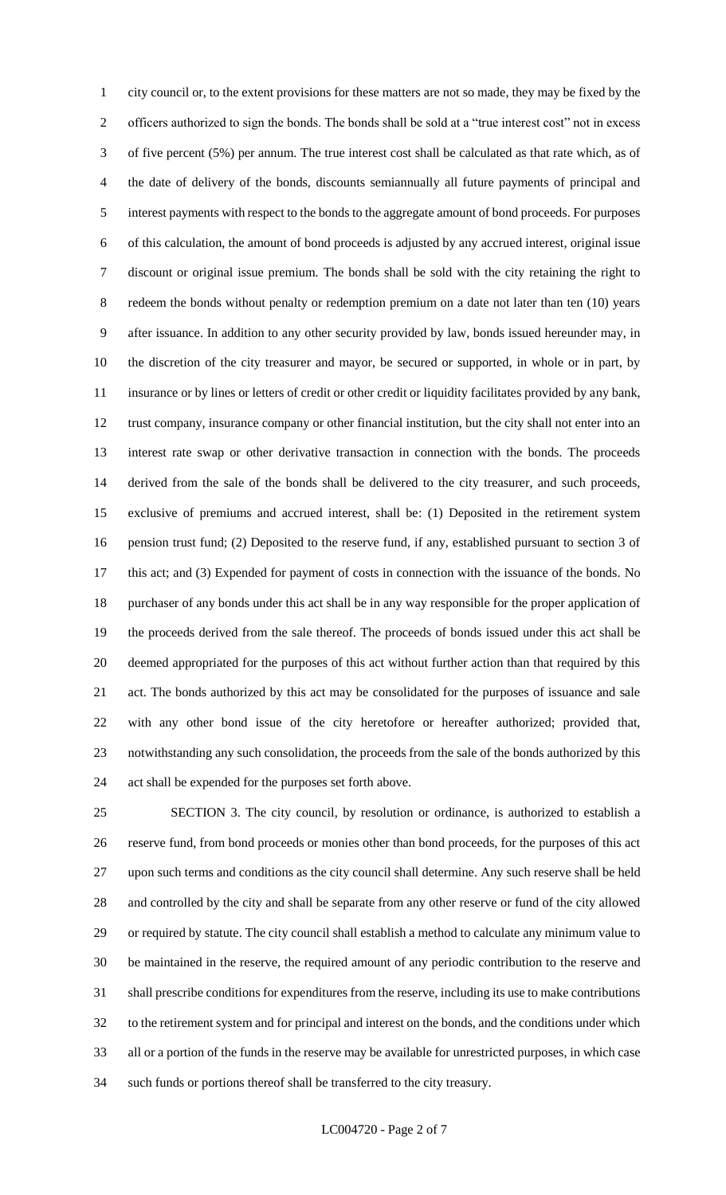city council or, to the extent provisions for these matters are not so made, they may be fixed by the officers authorized to sign the bonds. The bonds shall be sold at a "true interest cost" not in excess of five percent (5%) per annum. The true interest cost shall be calculated as that rate which, as of the date of delivery of the bonds, discounts semiannually all future payments of principal and interest payments with respect to the bonds to the aggregate amount of bond proceeds. For purposes of this calculation, the amount of bond proceeds is adjusted by any accrued interest, original issue discount or original issue premium. The bonds shall be sold with the city retaining the right to redeem the bonds without penalty or redemption premium on a date not later than ten (10) years after issuance. In addition to any other security provided by law, bonds issued hereunder may, in the discretion of the city treasurer and mayor, be secured or supported, in whole or in part, by insurance or by lines or letters of credit or other credit or liquidity facilitates provided by any bank, trust company, insurance company or other financial institution, but the city shall not enter into an interest rate swap or other derivative transaction in connection with the bonds. The proceeds derived from the sale of the bonds shall be delivered to the city treasurer, and such proceeds, exclusive of premiums and accrued interest, shall be: (1) Deposited in the retirement system pension trust fund; (2) Deposited to the reserve fund, if any, established pursuant to section 3 of this act; and (3) Expended for payment of costs in connection with the issuance of the bonds. No purchaser of any bonds under this act shall be in any way responsible for the proper application of the proceeds derived from the sale thereof. The proceeds of bonds issued under this act shall be deemed appropriated for the purposes of this act without further action than that required by this act. The bonds authorized by this act may be consolidated for the purposes of issuance and sale with any other bond issue of the city heretofore or hereafter authorized; provided that, notwithstanding any such consolidation, the proceeds from the sale of the bonds authorized by this act shall be expended for the purposes set forth above.

 SECTION 3. The city council, by resolution or ordinance, is authorized to establish a reserve fund, from bond proceeds or monies other than bond proceeds, for the purposes of this act upon such terms and conditions as the city council shall determine. Any such reserve shall be held and controlled by the city and shall be separate from any other reserve or fund of the city allowed or required by statute. The city council shall establish a method to calculate any minimum value to be maintained in the reserve, the required amount of any periodic contribution to the reserve and shall prescribe conditions for expenditures from the reserve, including its use to make contributions to the retirement system and for principal and interest on the bonds, and the conditions under which all or a portion of the funds in the reserve may be available for unrestricted purposes, in which case such funds or portions thereof shall be transferred to the city treasury.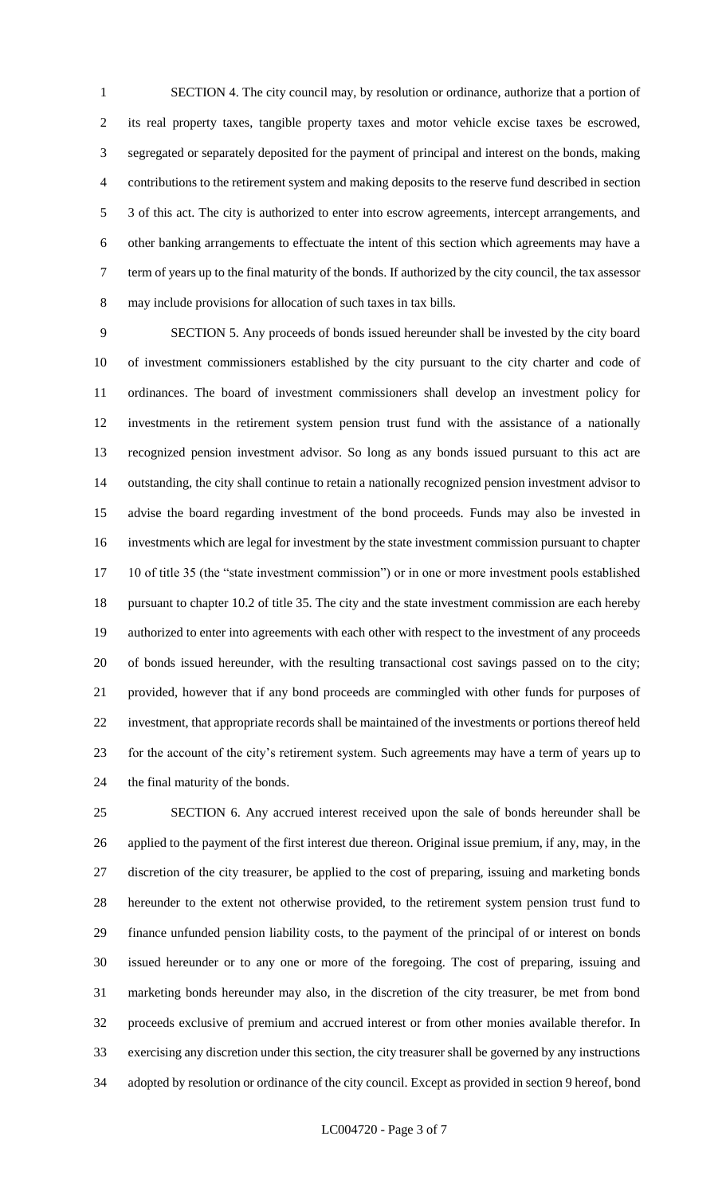SECTION 4. The city council may, by resolution or ordinance, authorize that a portion of its real property taxes, tangible property taxes and motor vehicle excise taxes be escrowed, segregated or separately deposited for the payment of principal and interest on the bonds, making contributions to the retirement system and making deposits to the reserve fund described in section 3 of this act. The city is authorized to enter into escrow agreements, intercept arrangements, and other banking arrangements to effectuate the intent of this section which agreements may have a term of years up to the final maturity of the bonds. If authorized by the city council, the tax assessor may include provisions for allocation of such taxes in tax bills.

 SECTION 5. Any proceeds of bonds issued hereunder shall be invested by the city board of investment commissioners established by the city pursuant to the city charter and code of ordinances. The board of investment commissioners shall develop an investment policy for investments in the retirement system pension trust fund with the assistance of a nationally recognized pension investment advisor. So long as any bonds issued pursuant to this act are outstanding, the city shall continue to retain a nationally recognized pension investment advisor to advise the board regarding investment of the bond proceeds. Funds may also be invested in investments which are legal for investment by the state investment commission pursuant to chapter 10 of title 35 (the "state investment commission") or in one or more investment pools established pursuant to chapter 10.2 of title 35. The city and the state investment commission are each hereby authorized to enter into agreements with each other with respect to the investment of any proceeds of bonds issued hereunder, with the resulting transactional cost savings passed on to the city; provided, however that if any bond proceeds are commingled with other funds for purposes of investment, that appropriate records shall be maintained of the investments or portions thereof held for the account of the city's retirement system. Such agreements may have a term of years up to the final maturity of the bonds.

 SECTION 6. Any accrued interest received upon the sale of bonds hereunder shall be applied to the payment of the first interest due thereon. Original issue premium, if any, may, in the discretion of the city treasurer, be applied to the cost of preparing, issuing and marketing bonds hereunder to the extent not otherwise provided, to the retirement system pension trust fund to finance unfunded pension liability costs, to the payment of the principal of or interest on bonds issued hereunder or to any one or more of the foregoing. The cost of preparing, issuing and marketing bonds hereunder may also, in the discretion of the city treasurer, be met from bond proceeds exclusive of premium and accrued interest or from other monies available therefor. In exercising any discretion under this section, the city treasurer shall be governed by any instructions adopted by resolution or ordinance of the city council. Except as provided in section 9 hereof, bond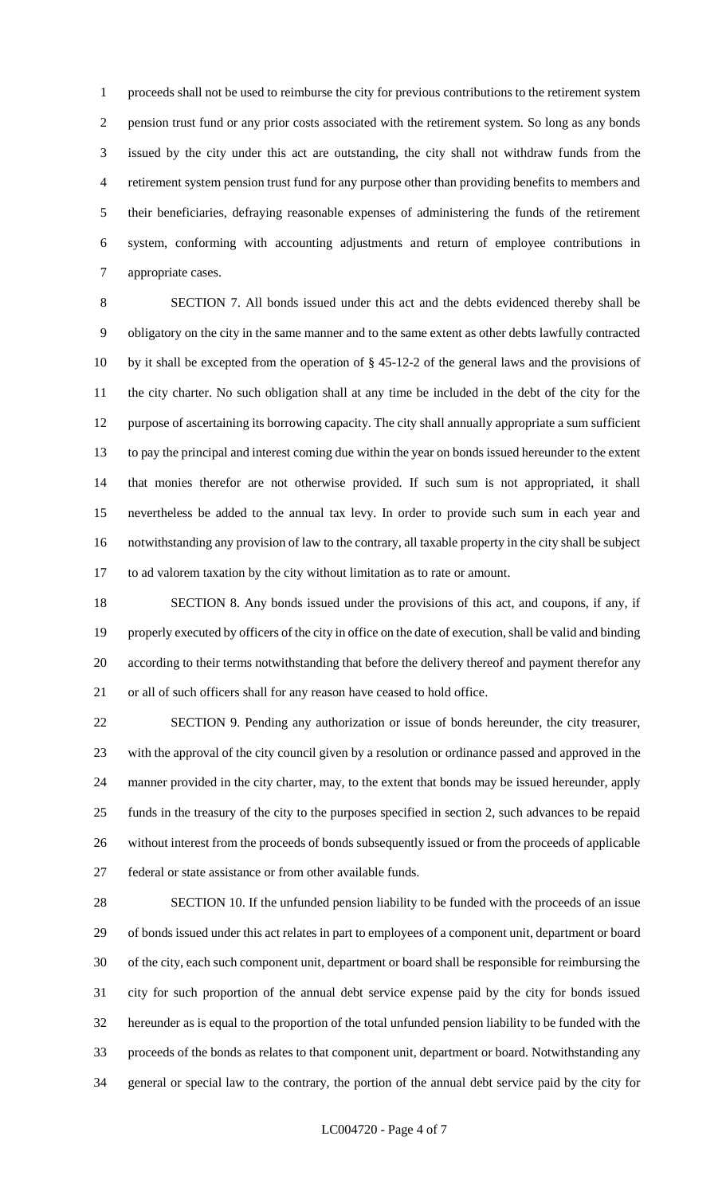proceeds shall not be used to reimburse the city for previous contributions to the retirement system pension trust fund or any prior costs associated with the retirement system. So long as any bonds issued by the city under this act are outstanding, the city shall not withdraw funds from the retirement system pension trust fund for any purpose other than providing benefits to members and their beneficiaries, defraying reasonable expenses of administering the funds of the retirement system, conforming with accounting adjustments and return of employee contributions in appropriate cases.

 SECTION 7. All bonds issued under this act and the debts evidenced thereby shall be obligatory on the city in the same manner and to the same extent as other debts lawfully contracted by it shall be excepted from the operation of § 45-12-2 of the general laws and the provisions of the city charter. No such obligation shall at any time be included in the debt of the city for the purpose of ascertaining its borrowing capacity. The city shall annually appropriate a sum sufficient to pay the principal and interest coming due within the year on bonds issued hereunder to the extent that monies therefor are not otherwise provided. If such sum is not appropriated, it shall nevertheless be added to the annual tax levy. In order to provide such sum in each year and notwithstanding any provision of law to the contrary, all taxable property in the city shall be subject to ad valorem taxation by the city without limitation as to rate or amount.

 SECTION 8. Any bonds issued under the provisions of this act, and coupons, if any, if properly executed by officers of the city in office on the date of execution, shall be valid and binding according to their terms notwithstanding that before the delivery thereof and payment therefor any or all of such officers shall for any reason have ceased to hold office.

 SECTION 9. Pending any authorization or issue of bonds hereunder, the city treasurer, with the approval of the city council given by a resolution or ordinance passed and approved in the manner provided in the city charter, may, to the extent that bonds may be issued hereunder, apply funds in the treasury of the city to the purposes specified in section 2, such advances to be repaid without interest from the proceeds of bonds subsequently issued or from the proceeds of applicable federal or state assistance or from other available funds.

 SECTION 10. If the unfunded pension liability to be funded with the proceeds of an issue of bonds issued under this act relates in part to employees of a component unit, department or board of the city, each such component unit, department or board shall be responsible for reimbursing the city for such proportion of the annual debt service expense paid by the city for bonds issued hereunder as is equal to the proportion of the total unfunded pension liability to be funded with the proceeds of the bonds as relates to that component unit, department or board. Notwithstanding any general or special law to the contrary, the portion of the annual debt service paid by the city for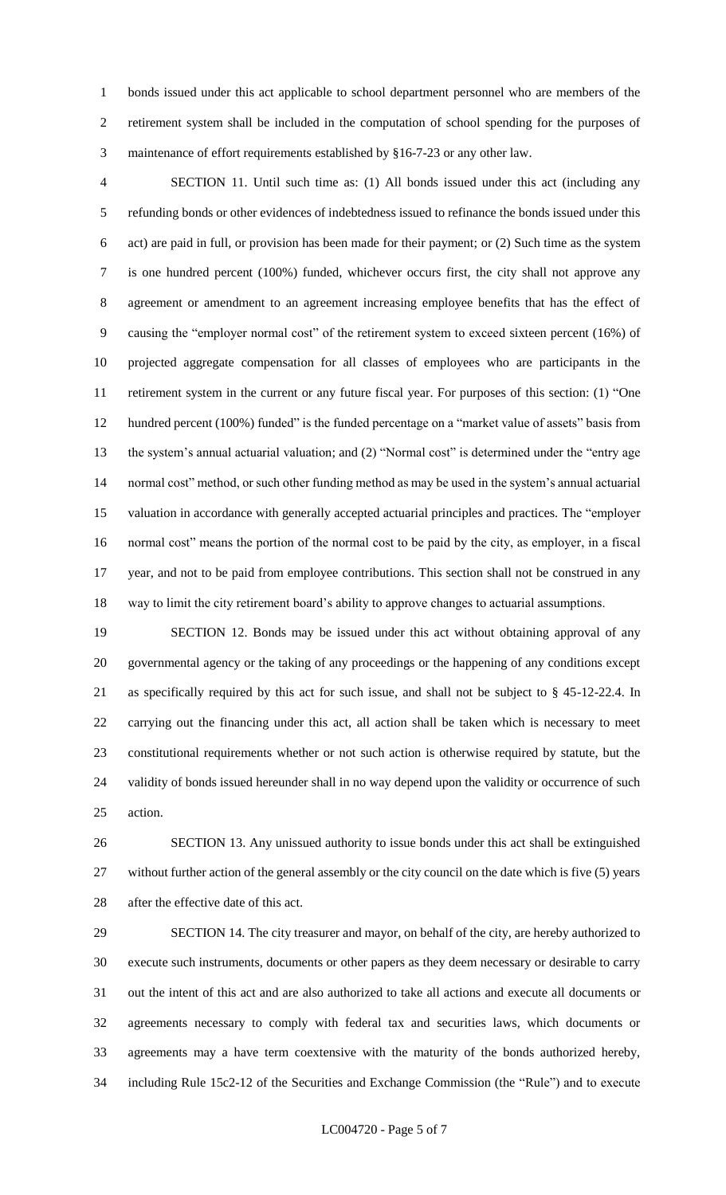bonds issued under this act applicable to school department personnel who are members of the retirement system shall be included in the computation of school spending for the purposes of maintenance of effort requirements established by §16-7-23 or any other law.

 SECTION 11. Until such time as: (1) All bonds issued under this act (including any refunding bonds or other evidences of indebtedness issued to refinance the bonds issued under this act) are paid in full, or provision has been made for their payment; or (2) Such time as the system is one hundred percent (100%) funded, whichever occurs first, the city shall not approve any agreement or amendment to an agreement increasing employee benefits that has the effect of causing the "employer normal cost" of the retirement system to exceed sixteen percent (16%) of projected aggregate compensation for all classes of employees who are participants in the retirement system in the current or any future fiscal year. For purposes of this section: (1) "One hundred percent (100%) funded" is the funded percentage on a "market value of assets" basis from the system's annual actuarial valuation; and (2) "Normal cost" is determined under the "entry age normal cost" method, or such other funding method as may be used in the system's annual actuarial valuation in accordance with generally accepted actuarial principles and practices. The "employer normal cost" means the portion of the normal cost to be paid by the city, as employer, in a fiscal year, and not to be paid from employee contributions. This section shall not be construed in any way to limit the city retirement board's ability to approve changes to actuarial assumptions.

 SECTION 12. Bonds may be issued under this act without obtaining approval of any governmental agency or the taking of any proceedings or the happening of any conditions except as specifically required by this act for such issue, and shall not be subject to § 45-12-22.4. In carrying out the financing under this act, all action shall be taken which is necessary to meet constitutional requirements whether or not such action is otherwise required by statute, but the validity of bonds issued hereunder shall in no way depend upon the validity or occurrence of such action.

 SECTION 13. Any unissued authority to issue bonds under this act shall be extinguished without further action of the general assembly or the city council on the date which is five (5) years after the effective date of this act.

 SECTION 14. The city treasurer and mayor, on behalf of the city, are hereby authorized to execute such instruments, documents or other papers as they deem necessary or desirable to carry out the intent of this act and are also authorized to take all actions and execute all documents or agreements necessary to comply with federal tax and securities laws, which documents or agreements may a have term coextensive with the maturity of the bonds authorized hereby, including Rule 15c2-12 of the Securities and Exchange Commission (the "Rule") and to execute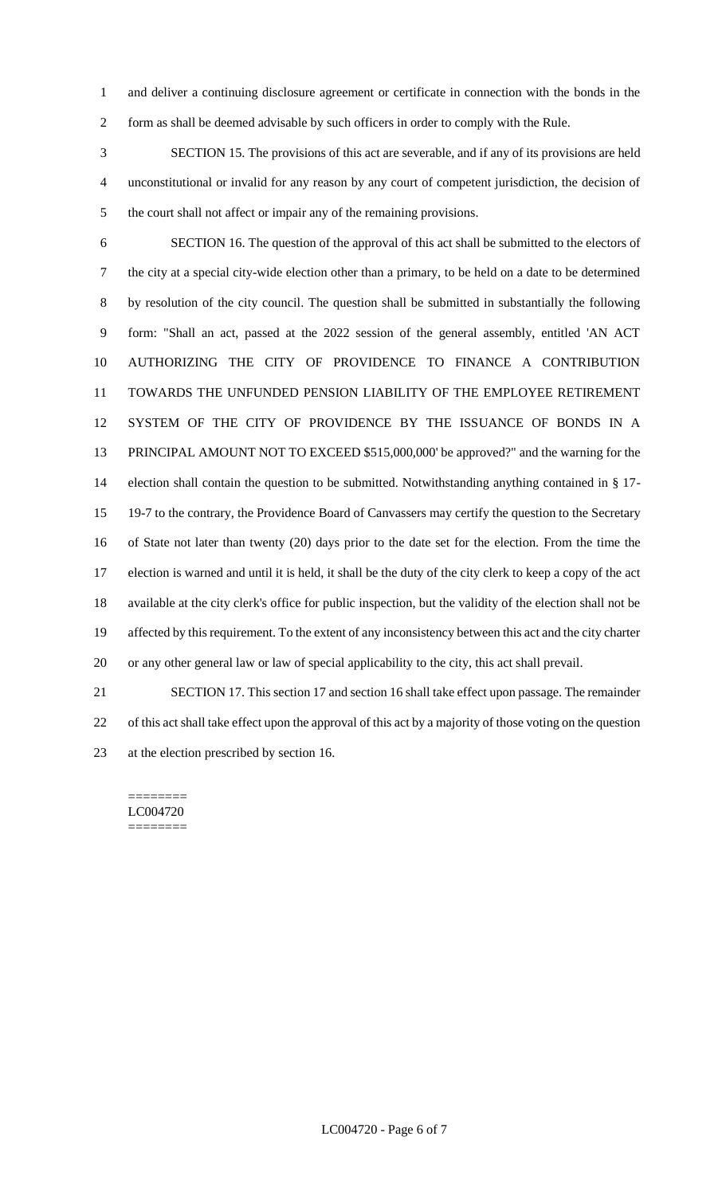and deliver a continuing disclosure agreement or certificate in connection with the bonds in the form as shall be deemed advisable by such officers in order to comply with the Rule.

 SECTION 15. The provisions of this act are severable, and if any of its provisions are held unconstitutional or invalid for any reason by any court of competent jurisdiction, the decision of the court shall not affect or impair any of the remaining provisions.

 SECTION 16. The question of the approval of this act shall be submitted to the electors of the city at a special city-wide election other than a primary, to be held on a date to be determined by resolution of the city council. The question shall be submitted in substantially the following form: "Shall an act, passed at the 2022 session of the general assembly, entitled 'AN ACT AUTHORIZING THE CITY OF PROVIDENCE TO FINANCE A CONTRIBUTION TOWARDS THE UNFUNDED PENSION LIABILITY OF THE EMPLOYEE RETIREMENT SYSTEM OF THE CITY OF PROVIDENCE BY THE ISSUANCE OF BONDS IN A PRINCIPAL AMOUNT NOT TO EXCEED \$515,000,000' be approved?" and the warning for the election shall contain the question to be submitted. Notwithstanding anything contained in § 17- 19-7 to the contrary, the Providence Board of Canvassers may certify the question to the Secretary of State not later than twenty (20) days prior to the date set for the election. From the time the election is warned and until it is held, it shall be the duty of the city clerk to keep a copy of the act available at the city clerk's office for public inspection, but the validity of the election shall not be affected by this requirement. To the extent of any inconsistency between this act and the city charter or any other general law or law of special applicability to the city, this act shall prevail. SECTION 17. This section 17 and section 16 shall take effect upon passage. The remainder

 of this act shall take effect upon the approval of this act by a majority of those voting on the question at the election prescribed by section 16.

======== LC004720 ========

LC004720 - Page 6 of 7